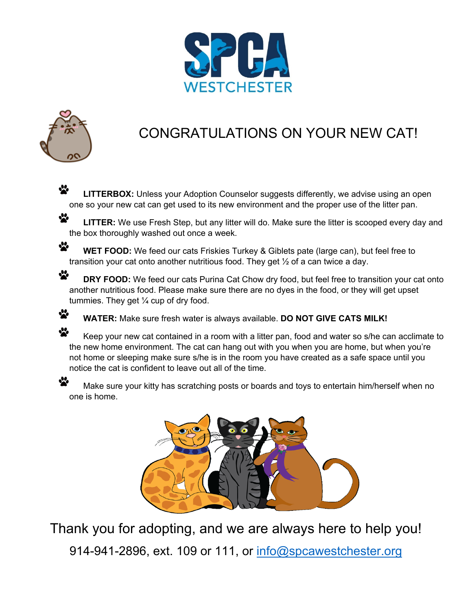



 $\ddot{\bullet}$ 

☆

### CONGRATULATIONS ON YOUR NEW CAT!

☆ **LITTERBOX:** Unless your Adoption Counselor suggests differently, we advise using an open one so your new cat can get used to its new environment and the proper use of the litter pan.

 $\cdot$ **LITTER:** We use Fresh Step, but any litter will do. Make sure the litter is scooped every day and the box thoroughly washed out once a week.

☆ **WET FOOD:** We feed our cats Friskies Turkey & Giblets pate (large can), but feel free to transition your cat onto another nutritious food. They get ½ of a can twice a day.

 $\ddot{\bullet}$ **DRY FOOD:** We feed our cats Purina Cat Chow dry food, but feel free to transition your cat onto another nutritious food. Please make sure there are no dyes in the food, or they will get upset tummies. They get  $\frac{1}{4}$  cup of dry food.

**WATER:** Make sure fresh water is always available. **DO NOT GIVE CATS MILK!**

₩ Keep your new cat contained in a room with a litter pan, food and water so s/he can acclimate to the new home environment. The cat can hang out with you when you are home, but when you're not home or sleeping make sure s/he is in the room you have created as a safe space until you notice the cat is confident to leave out all of the time.

Make sure your kitty has scratching posts or boards and toys to entertain him/herself when no one is home.



Thank you for adopting, and we are always here to help you!

914-941-2896, ext. 109 or 111, or [info@spcawestchester.org](mailto:info@spcawestchester.org)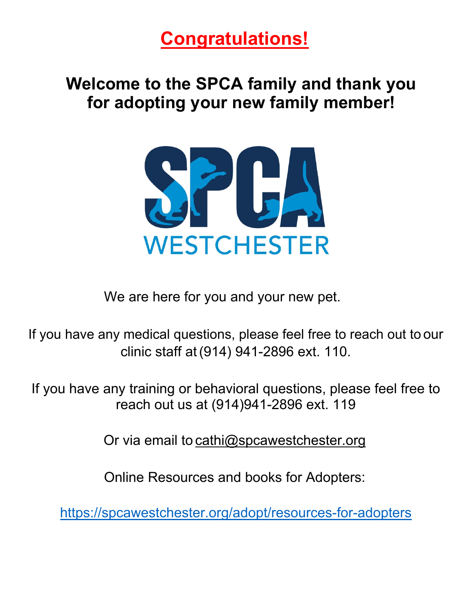# **Congratulations!**

## **Welcome to the SPCA family and thank you for adopting your new family member!**



We are here for you and your new pet.

If you have any medical questions, please feel free to reach out to our clinic staff at(914) 941-2896 ext. 110.

If you have any training or behavioral questions, please feel free to reach out us at (914)941-2896 ext. 119

Or via email to cathi@spcawestchester.org

Online Resources and books for Adopters:

<https://spcawestchester.org/adopt/resources-for-adopters>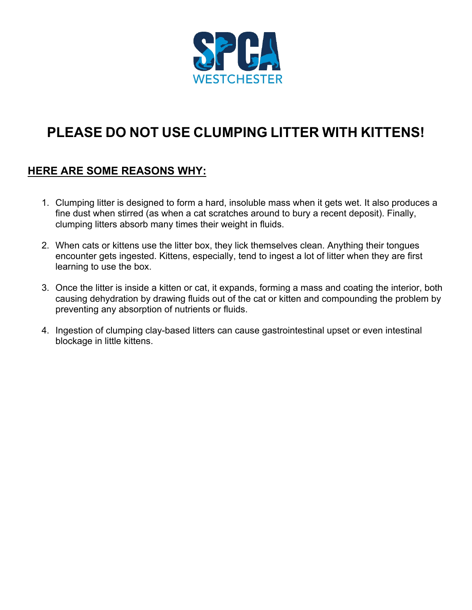

### **PLEASE DO NOT USE CLUMPING LITTER WITH KITTENS!**

### **HERE ARE SOME REASONS WHY:**

- 1. Clumping litter is designed to form a hard, insoluble mass when it gets wet. It also produces a fine dust when stirred (as when a cat scratches around to bury a recent deposit). Finally, clumping litters absorb many times their weight in fluids.
- 2. When cats or kittens use the litter box, they lick themselves clean. Anything their tongues encounter gets ingested. Kittens, especially, tend to ingest a lot of litter when they are first learning to use the box.
- 3. Once the litter is inside a kitten or cat, it expands, forming a mass and coating the interior, both causing dehydration by drawing fluids out of the cat or kitten and compounding the problem by preventing any absorption of nutrients or fluids.
- 4. Ingestion of clumping clay-based litters can cause gastrointestinal upset or even intestinal blockage in little kittens.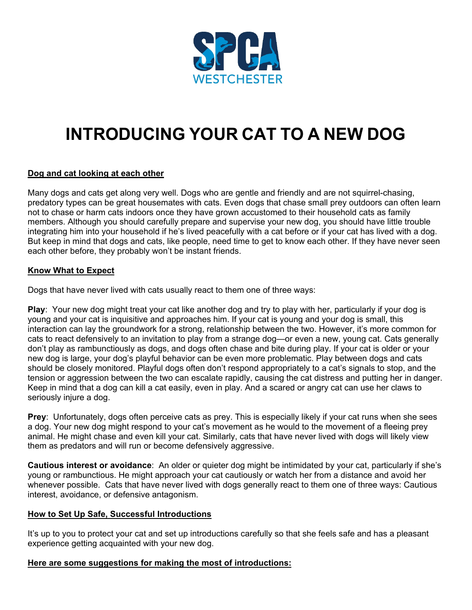

# **INTRODUCING YOUR CAT TO A NEW DOG**

### **Dog and cat looking at each other**

Many dogs and cats get along very well. Dogs who are gentle and friendly and are not squirrel-chasing, predatory types can be great housemates with cats. Even dogs that chase small prey outdoors can often learn not to chase or harm cats indoors once they have grown accustomed to their household cats as family members. Although you should carefully prepare and supervise your new dog, you should have little trouble integrating him into your household if he's lived peacefully with a cat before or if your cat has lived with a dog. But keep in mind that dogs and cats, like people, need time to get to know each other. If they have never seen each other before, they probably won't be instant friends.

#### **Know What to Expect**

Dogs that have never lived with cats usually react to them one of three ways:

**Play**: Your new dog might treat your cat like another dog and try to play with her, particularly if your dog is young and your cat is inquisitive and approaches him. If your cat is young and your dog is small, this interaction can lay the groundwork for a strong, relationship between the two. However, it's more common for cats to react defensively to an invitation to play from a strange dog—or even a new, young cat. Cats generally don't play as rambunctiously as dogs, and dogs often chase and bite during play. If your cat is older or your new dog is large, your dog's playful behavior can be even more problematic. Play between dogs and cats should be closely monitored. Playful dogs often don't respond appropriately to a cat's signals to stop, and the tension or aggression between the two can escalate rapidly, causing the cat distress and putting her in danger. Keep in mind that a dog can kill a cat easily, even in play. And a scared or angry cat can use her claws to seriously injure a dog.

**Prey**: Unfortunately, dogs often perceive cats as prey. This is especially likely if your cat runs when she sees a dog. Your new dog might respond to your cat's movement as he would to the movement of a fleeing prey animal. He might chase and even kill your cat. Similarly, cats that have never lived with dogs will likely view them as predators and will run or become defensively aggressive.

**Cautious interest or avoidance**: An older or quieter dog might be intimidated by your cat, particularly if she's young or rambunctious. He might approach your cat cautiously or watch her from a distance and avoid her whenever possible. Cats that have never lived with dogs generally react to them one of three ways: Cautious interest, avoidance, or defensive antagonism.

#### **How to Set Up Safe, Successful Introductions**

It's up to you to protect your cat and set up introductions carefully so that she feels safe and has a pleasant experience getting acquainted with your new dog.

#### **Here are some suggestions for making the most of introductions:**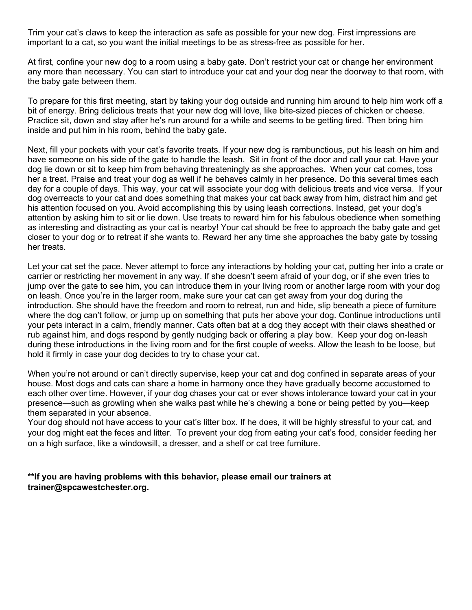Trim your cat's claws to keep the interaction as safe as possible for your new dog. First impressions are important to a cat, so you want the initial meetings to be as stress-free as possible for her.

At first, confine your new dog to a room using a baby gate. Don't restrict your cat or change her environment any more than necessary. You can start to introduce your cat and your dog near the doorway to that room, with the baby gate between them.

To prepare for this first meeting, start by taking your dog outside and running him around to help him work off a bit of energy. Bring delicious treats that your new dog will love, like bite-sized pieces of chicken or cheese. Practice sit, down and stay after he's run around for a while and seems to be getting tired. Then bring him inside and put him in his room, behind the baby gate.

Next, fill your pockets with your cat's favorite treats. If your new dog is rambunctious, put his leash on him and have someone on his side of the gate to handle the leash. Sit in front of the door and call your cat. Have your dog lie down or sit to keep him from behaving threateningly as she approaches. When your cat comes, toss her a treat. Praise and treat your dog as well if he behaves calmly in her presence. Do this several times each day for a couple of days. This way, your cat will associate your dog with delicious treats and vice versa. If your dog overreacts to your cat and does something that makes your cat back away from him, distract him and get his attention focused on you. Avoid accomplishing this by using leash corrections. Instead, get your dog's attention by asking him to sit or lie down. Use treats to reward him for his fabulous obedience when something as interesting and distracting as your cat is nearby! Your cat should be free to approach the baby gate and get closer to your dog or to retreat if she wants to. Reward her any time she approaches the baby gate by tossing her treats.

Let your cat set the pace. Never attempt to force any interactions by holding your cat, putting her into a crate or carrier or restricting her movement in any way. If she doesn't seem afraid of your dog, or if she even tries to jump over the gate to see him, you can introduce them in your living room or another large room with your dog on leash. Once you're in the larger room, make sure your cat can get away from your dog during the introduction. She should have the freedom and room to retreat, run and hide, slip beneath a piece of furniture where the dog can't follow, or jump up on something that puts her above your dog. Continue introductions until your pets interact in a calm, friendly manner. Cats often bat at a dog they accept with their claws sheathed or rub against him, and dogs respond by gently nudging back or offering a play bow. Keep your dog on-leash during these introductions in the living room and for the first couple of weeks. Allow the leash to be loose, but hold it firmly in case your dog decides to try to chase your cat.

When you're not around or can't directly supervise, keep your cat and dog confined in separate areas of your house. Most dogs and cats can share a home in harmony once they have gradually become accustomed to each other over time. However, if your dog chases your cat or ever shows intolerance toward your cat in your presence—such as growling when she walks past while he's chewing a bone or being petted by you—keep them separated in your absence.

Your dog should not have access to your cat's litter box. If he does, it will be highly stressful to your cat, and your dog might eat the feces and litter. To prevent your dog from eating your cat's food, consider feeding her on a high surface, like a windowsill, a dresser, and a shelf or cat tree furniture.

**\*\*If you are having problems with this behavior, please email our trainers at trainer@spcawestchester.org.**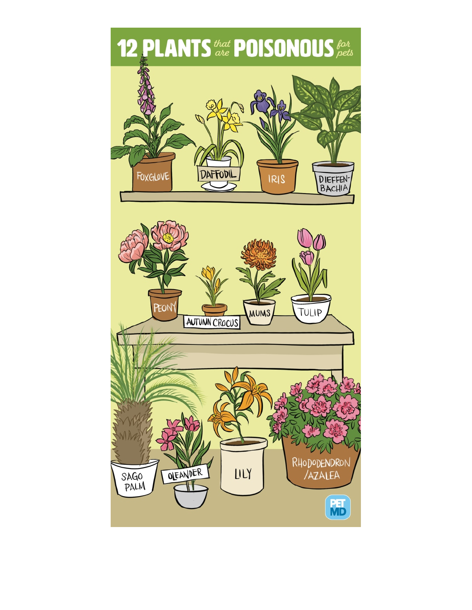